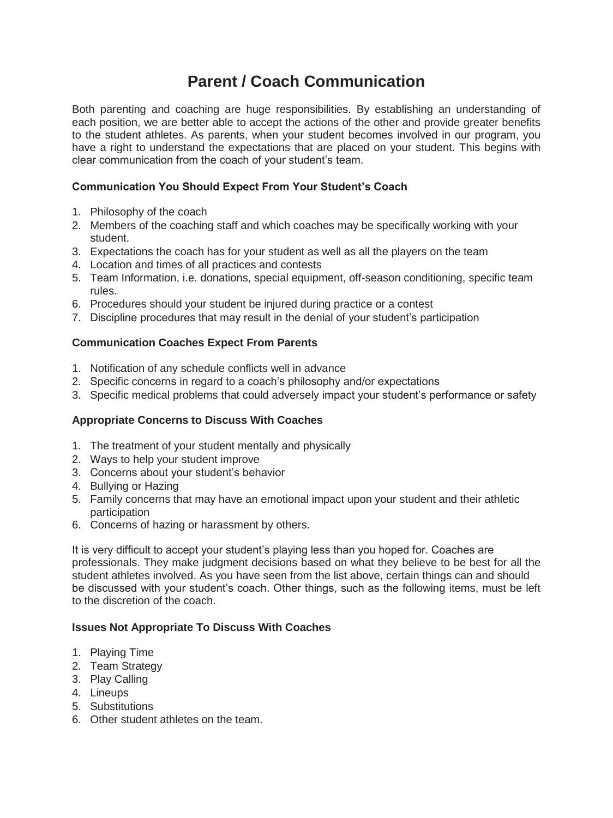# **Parent / Coach Communication**

Both parenting and coaching are huge responsibilities. By establishing an understanding of each position, we are better able to accept the actions of the other and provide greater benefits to the student athletes. As parents, when your student becomes involved in our program, you have a right to understand the expectations that are placed on your student. This begins with clear communication from the coach of your student's team.

# **Communication You Should Expect From Your Student's Coach**

- 1. Philosophy of the coach
- 2. Members of the coaching staff and which coaches may be specifically working with your student.
- 3. Expectations the coach has for your student as well as all the players on the team
- 4. Location and times of all practices and contests
- 5. Team Information, i.e. donations, special equipment, off-season conditioning, specific team rules.
- 6. Procedures should your student be injured during practice or a contest
- 7. Discipline procedures that may result in the denial of your student's participation

## **Communication Coaches Expect From Parents**

- 1. Notification of any schedule conflicts well in advance
- 2. Specific concerns in regard to a coach's philosophy and/or expectations
- 3. Specific medical problems that could adversely impact your student's performance or safety

## **Appropriate Concerns to Discuss With Coaches**

- 1. The treatment of your student mentally and physically
- 2. Ways to help your student improve
- 3. Concerns about your student's behavior
- 4. Bullying or Hazing
- 5. Family concerns that may have an emotional impact upon your student and their athletic participation
- 6. Concerns of hazing or harassment by others.

It is very difficult to accept your student's playing less than you hoped for. Coaches are professionals. They make judgment decisions based on what they believe to be best for all the student athletes involved. As you have seen from the list above, certain things can and should be discussed with your student's coach. Other things, such as the following items, must be left to the discretion of the coach.

### **Issues Not Appropriate To Discuss With Coaches**

- 1. Playing Time
- 2. Team Strategy
- 3. Play Calling
- 4. Lineups
- 5. Substitutions
- 6. Other student athletes on the team.